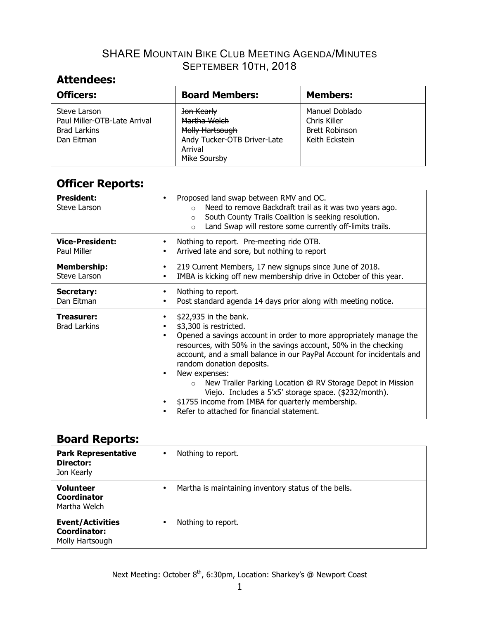## **Attendees:**

| <b>Officers:</b>                                                                  | <b>Board Members:</b>                                                                                   | <b>Members:</b>                                                           |
|-----------------------------------------------------------------------------------|---------------------------------------------------------------------------------------------------------|---------------------------------------------------------------------------|
| Steve Larson<br>Paul Miller-OTB-Late Arrival<br><b>Brad Larkins</b><br>Dan Eitman | Jon Kearly<br>Martha Welch<br>Molly Hartsough<br>Andy Tucker-OTB Driver-Late<br>Arrival<br>Mike Soursby | Manuel Doblado<br>Chris Killer<br><b>Brett Robinson</b><br>Keith Eckstein |

## **Officer Reports:**

| <b>President:</b><br>Steve Larson     | Proposed land swap between RMV and OC.<br>٠<br>Need to remove Backdraft trail as it was two years ago.<br>$\circ$<br>South County Trails Coalition is seeking resolution.<br>$\Omega$<br>Land Swap will restore some currently off-limits trails.<br>$\Omega$                                                                                                                                                                                                                                                                                                                                                  |
|---------------------------------------|----------------------------------------------------------------------------------------------------------------------------------------------------------------------------------------------------------------------------------------------------------------------------------------------------------------------------------------------------------------------------------------------------------------------------------------------------------------------------------------------------------------------------------------------------------------------------------------------------------------|
| <b>Vice-President:</b><br>Paul Miller | Nothing to report. Pre-meeting ride OTB.<br>Arrived late and sore, but nothing to report<br>$\bullet$                                                                                                                                                                                                                                                                                                                                                                                                                                                                                                          |
| <b>Membership:</b><br>Steve Larson    | 219 Current Members, 17 new signups since June of 2018.<br>٠<br>IMBA is kicking off new membership drive in October of this year.<br>$\bullet$                                                                                                                                                                                                                                                                                                                                                                                                                                                                 |
| Secretary:<br>Dan Eitman              | Nothing to report.<br>Post standard agenda 14 days prior along with meeting notice.<br>٠                                                                                                                                                                                                                                                                                                                                                                                                                                                                                                                       |
| Treasurer:<br><b>Brad Larkins</b>     | \$22,935 in the bank.<br>\$3,300 is restricted.<br>$\bullet$<br>Opened a savings account in order to more appropriately manage the<br>$\bullet$<br>resources, with 50% in the savings account, 50% in the checking<br>account, and a small balance in our PayPal Account for incidentals and<br>random donation deposits.<br>New expenses:<br>$\bullet$<br>New Trailer Parking Location @ RV Storage Depot in Mission<br>$\circ$<br>Viejo. Includes a 5'x5' storage space. (\$232/month).<br>\$1755 income from IMBA for quarterly membership.<br>$\bullet$<br>Refer to attached for financial statement.<br>٠ |

## **Board Reports:**

| <b>Park Representative</b><br>Director:<br>Jon Kearly             | Nothing to report.<br>$\bullet$                                   |
|-------------------------------------------------------------------|-------------------------------------------------------------------|
| <b>Volunteer</b><br>Coordinator<br>Martha Welch                   | Martha is maintaining inventory status of the bells.<br>$\bullet$ |
| <b>Event/Activities</b><br><b>Coordinator:</b><br>Molly Hartsough | Nothing to report.<br>٠                                           |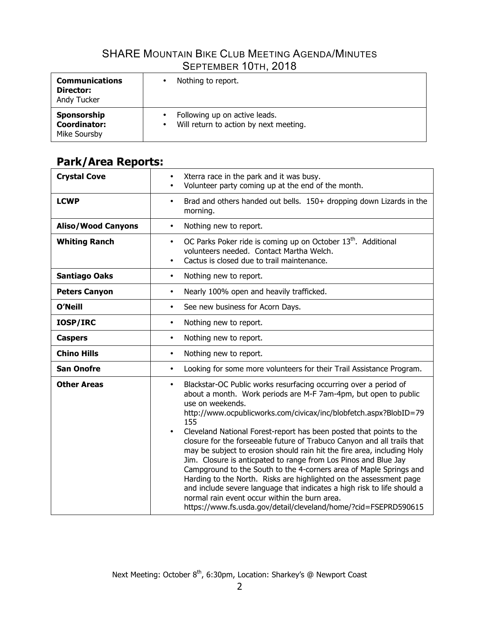| <b>Communications</b><br>Director:<br>Andy Tucker | Nothing to report.                     |
|---------------------------------------------------|----------------------------------------|
| Sponsorship                                       | Following up on active leads.          |
| <b>Coordinator:</b>                               | Will return to action by next meeting. |
| Mike Soursby                                      | ٠                                      |

# **Park/Area Reports:**

| <b>Crystal Cove</b>       | Xterra race in the park and it was busy.<br>$\bullet$<br>Volunteer party coming up at the end of the month.<br>$\bullet$                                                                                                                                                                                                                                                                                                                                                                                                                                                                                                                                                                                                                                                                                                                                                                                 |
|---------------------------|----------------------------------------------------------------------------------------------------------------------------------------------------------------------------------------------------------------------------------------------------------------------------------------------------------------------------------------------------------------------------------------------------------------------------------------------------------------------------------------------------------------------------------------------------------------------------------------------------------------------------------------------------------------------------------------------------------------------------------------------------------------------------------------------------------------------------------------------------------------------------------------------------------|
| <b>LCWP</b>               | Brad and others handed out bells. 150+ dropping down Lizards in the<br>$\bullet$<br>morning.                                                                                                                                                                                                                                                                                                                                                                                                                                                                                                                                                                                                                                                                                                                                                                                                             |
| <b>Aliso/Wood Canyons</b> | Nothing new to report.<br>$\bullet$                                                                                                                                                                                                                                                                                                                                                                                                                                                                                                                                                                                                                                                                                                                                                                                                                                                                      |
| <b>Whiting Ranch</b>      | OC Parks Poker ride is coming up on October 13 <sup>th</sup> . Additional<br>$\bullet$<br>volunteers needed. Contact Martha Welch.<br>Cactus is closed due to trail maintenance.                                                                                                                                                                                                                                                                                                                                                                                                                                                                                                                                                                                                                                                                                                                         |
| <b>Santiago Oaks</b>      | Nothing new to report.<br>$\bullet$                                                                                                                                                                                                                                                                                                                                                                                                                                                                                                                                                                                                                                                                                                                                                                                                                                                                      |
| <b>Peters Canyon</b>      | Nearly 100% open and heavily trafficked.<br>$\bullet$                                                                                                                                                                                                                                                                                                                                                                                                                                                                                                                                                                                                                                                                                                                                                                                                                                                    |
| <b>O'Neill</b>            | See new business for Acorn Days.<br>٠                                                                                                                                                                                                                                                                                                                                                                                                                                                                                                                                                                                                                                                                                                                                                                                                                                                                    |
| IOSP/IRC                  | Nothing new to report.<br>$\bullet$                                                                                                                                                                                                                                                                                                                                                                                                                                                                                                                                                                                                                                                                                                                                                                                                                                                                      |
| <b>Caspers</b>            | Nothing new to report.<br>$\bullet$                                                                                                                                                                                                                                                                                                                                                                                                                                                                                                                                                                                                                                                                                                                                                                                                                                                                      |
| <b>Chino Hills</b>        | Nothing new to report.<br>$\bullet$                                                                                                                                                                                                                                                                                                                                                                                                                                                                                                                                                                                                                                                                                                                                                                                                                                                                      |
| <b>San Onofre</b>         | Looking for some more volunteers for their Trail Assistance Program.<br>$\bullet$                                                                                                                                                                                                                                                                                                                                                                                                                                                                                                                                                                                                                                                                                                                                                                                                                        |
| <b>Other Areas</b>        | Blackstar-OC Public works resurfacing occurring over a period of<br>$\bullet$<br>about a month. Work periods are M-F 7am-4pm, but open to public<br>use on weekends.<br>http://www.ocpublicworks.com/civicax/inc/blobfetch.aspx?BlobID=79<br>155<br>Cleveland National Forest-report has been posted that points to the<br>$\bullet$<br>closure for the forseeable future of Trabuco Canyon and all trails that<br>may be subject to erosion should rain hit the fire area, including Holy<br>Jim. Closure is anticpated to range from Los Pinos and Blue Jay<br>Campground to the South to the 4-corners area of Maple Springs and<br>Harding to the North. Risks are highlighted on the assessment page<br>and include severe language that indicates a high risk to life should a<br>normal rain event occur within the burn area.<br>https://www.fs.usda.gov/detail/cleveland/home/?cid=FSEPRD590615 |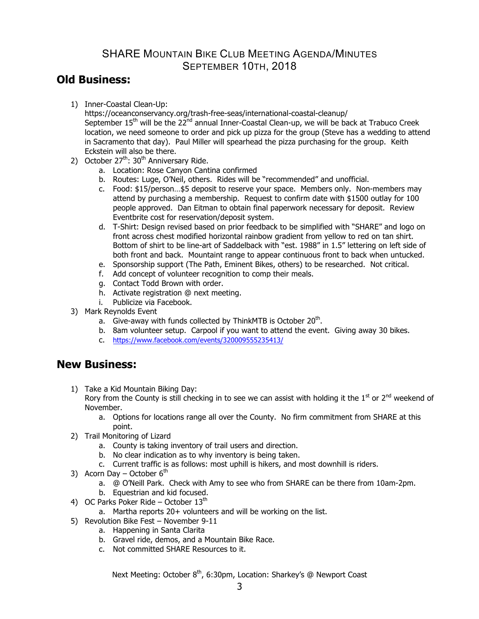### **Old Business:**

1) Inner-Coastal Clean-Up:

https://oceanconservancy.org/trash-free-seas/international-coastal-cleanup/ September  $15<sup>th</sup>$  will be the  $22<sup>nd</sup>$  annual Inner-Coastal Clean-up, we will be back at Trabuco Creek location, we need someone to order and pick up pizza for the group (Steve has a wedding to attend in Sacramento that day). Paul Miller will spearhead the pizza purchasing for the group. Keith Eckstein will also be there.

- 2) October  $27<sup>th</sup>$ : 30<sup>th</sup> Anniversary Ride.
	- a. Location: Rose Canyon Cantina confirmed
	- b. Routes: Luge, O'Neil, others. Rides will be "recommended" and unofficial.
	- c. Food: \$15/person…\$5 deposit to reserve your space. Members only. Non-members may attend by purchasing a membership. Request to confirm date with \$1500 outlay for 100 people approved. Dan Eitman to obtain final paperwork necessary for deposit. Review Eventbrite cost for reservation/deposit system.
	- d. T-Shirt: Design revised based on prior feedback to be simplified with "SHARE" and logo on front across chest modified horizontal rainbow gradient from yellow to red on tan shirt. Bottom of shirt to be line-art of Saddelback with "est. 1988" in 1.5" lettering on left side of both front and back. Mountaint range to appear continuous front to back when untucked.
	- e. Sponsorship support (The Path, Eminent Bikes, others) to be researched. Not critical.
	- f. Add concept of volunteer recognition to comp their meals.
	- g. Contact Todd Brown with order.
	- h. Activate registration @ next meeting.
	- i. Publicize via Facebook.
- 3) Mark Reynolds Event
	- a. Give-away with funds collected by ThinkMTB is October  $20<sup>th</sup>$ .
	- b. 8am volunteer setup. Carpool if you want to attend the event. Giving away 30 bikes.
	- c. https://www.facebook.com/events/320009555235413/

### **New Business:**

1) Take a Kid Mountain Biking Day:

Rory from the County is still checking in to see we can assist with holding it the  $1<sup>st</sup>$  or  $2<sup>nd</sup>$  weekend of November.

- a. Options for locations range all over the County. No firm commitment from SHARE at this point.
- 2) Trail Monitoring of Lizard
	- a. County is taking inventory of trail users and direction.
	- b. No clear indication as to why inventory is being taken.
	- c. Current traffic is as follows: most uphill is hikers, and most downhill is riders.
- 3) Acorn Day October  $6<sup>th</sup>$ 
	- a. @ O'Neill Park. Check with Amy to see who from SHARE can be there from 10am-2pm.
	- b. Equestrian and kid focused.
- 4) OC Parks Poker Ride October  $13<sup>th</sup>$ 
	- a. Martha reports 20+ volunteers and will be working on the list.
- 5) Revolution Bike Fest November 9-11
	- a. Happening in Santa Clarita
	- b. Gravel ride, demos, and a Mountain Bike Race.
	- c. Not committed SHARE Resources to it.

Next Meeting: October 8<sup>th</sup>, 6:30pm, Location: Sharkey's @ Newport Coast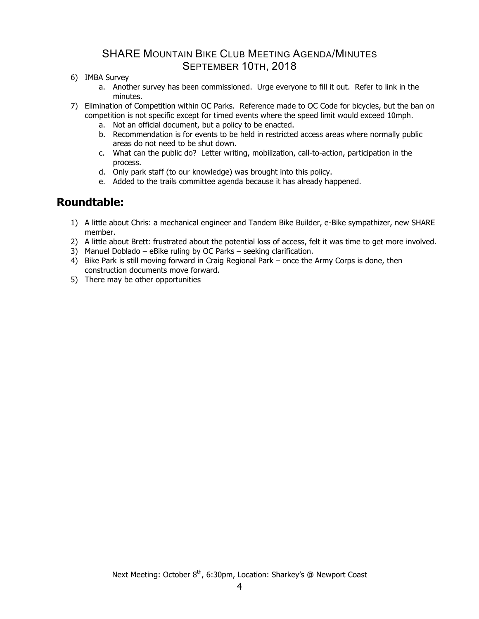- 6) IMBA Survey
	- a. Another survey has been commissioned. Urge everyone to fill it out. Refer to link in the minutes.
- 7) Elimination of Competition within OC Parks. Reference made to OC Code for bicycles, but the ban on competition is not specific except for timed events where the speed limit would exceed 10mph.
	- a. Not an official document, but a policy to be enacted.
	- b. Recommendation is for events to be held in restricted access areas where normally public areas do not need to be shut down.
	- c. What can the public do? Letter writing, mobilization, call-to-action, participation in the process.
	- d. Only park staff (to our knowledge) was brought into this policy.
	- e. Added to the trails committee agenda because it has already happened.

### **Roundtable:**

- 1) A little about Chris: a mechanical engineer and Tandem Bike Builder, e-Bike sympathizer, new SHARE member.
- 2) A little about Brett: frustrated about the potential loss of access, felt it was time to get more involved.
- 3) Manuel Doblado eBike ruling by OC Parks seeking clarification.
- 4) Bike Park is still moving forward in Craig Regional Park once the Army Corps is done, then construction documents move forward.
- 5) There may be other opportunities